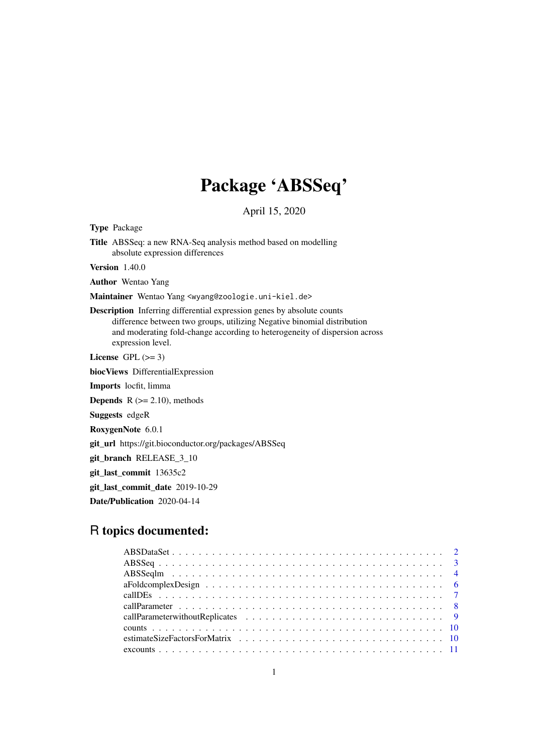# Package 'ABSSeq'

April 15, 2020

<span id="page-0-0"></span>Type Package

Title ABSSeq: a new RNA-Seq analysis method based on modelling absolute expression differences

Version 1.40.0

Author Wentao Yang

Maintainer Wentao Yang <wyang@zoologie.uni-kiel.de>

Description Inferring differential expression genes by absolute counts difference between two groups, utilizing Negative binomial distribution and moderating fold-change according to heterogeneity of dispersion across expression level.

License GPL  $(>= 3)$ 

biocViews DifferentialExpression

Imports locfit, limma

**Depends**  $R$  ( $>= 2.10$ ), methods

Suggests edgeR

RoxygenNote 6.0.1

git\_url https://git.bioconductor.org/packages/ABSSeq

git\_branch RELEASE\_3\_10

git\_last\_commit 13635c2

git\_last\_commit\_date 2019-10-29

Date/Publication 2020-04-14

# R topics documented: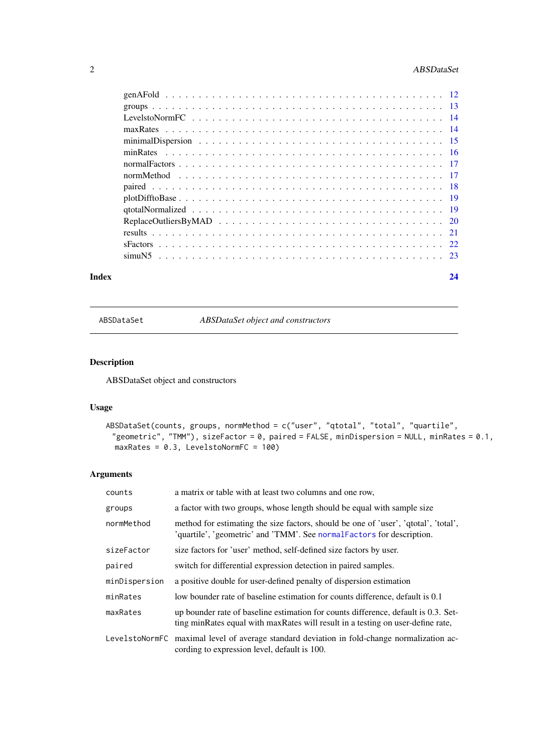# <span id="page-1-0"></span>2 ABSDataSet

| $plotDifftoBase \ldots \ldots \ldots \ldots \ldots \ldots \ldots \ldots \ldots \ldots \ldots \ldots \ldots 19$ |  |  |
|----------------------------------------------------------------------------------------------------------------|--|--|
|                                                                                                                |  |  |
|                                                                                                                |  |  |
|                                                                                                                |  |  |
|                                                                                                                |  |  |
|                                                                                                                |  |  |
|                                                                                                                |  |  |

#### **Index** [24](#page-23-0)

<span id="page-1-1"></span>ABSDataSet *ABSDataSet object and constructors*

# Description

ABSDataSet object and constructors

# Usage

```
ABSDataSet(counts, groups, normMethod = c("user", "qtotal", "total", "quartile",
 "geometric", "TMM"), sizeFactor = 0, paired = FALSE, minDispersion = NULL, minRates = 0.1,
  maxRates = 0.3, LevelstoNormFC = 100)
```
# Arguments

| counts        | a matrix or table with at least two columns and one row,                                                                                                              |
|---------------|-----------------------------------------------------------------------------------------------------------------------------------------------------------------------|
| groups        | a factor with two groups, whose length should be equal with sample size                                                                                               |
| normMethod    | method for estimating the size factors, should be one of 'user', 'qtotal', 'total',<br>'quartile', 'geometric' and 'TMM'. See normal Factors for description.         |
| sizeFactor    | size factors for 'user' method, self-defined size factors by user.                                                                                                    |
| paired        | switch for differential expression detection in paired samples.                                                                                                       |
| minDispersion | a positive double for user-defined penalty of dispersion estimation                                                                                                   |
| minRates      | low bounder rate of baseline estimation for counts difference, default is 0.1                                                                                         |
| maxRates      | up bounder rate of baseline estimation for counts difference, default is 0.3. Set-<br>ting minRates equal with maxRates will result in a testing on user-define rate, |
|               | LevelstoNormFC maximal level of average standard deviation in fold-change normalization ac-<br>cording to expression level, default is 100.                           |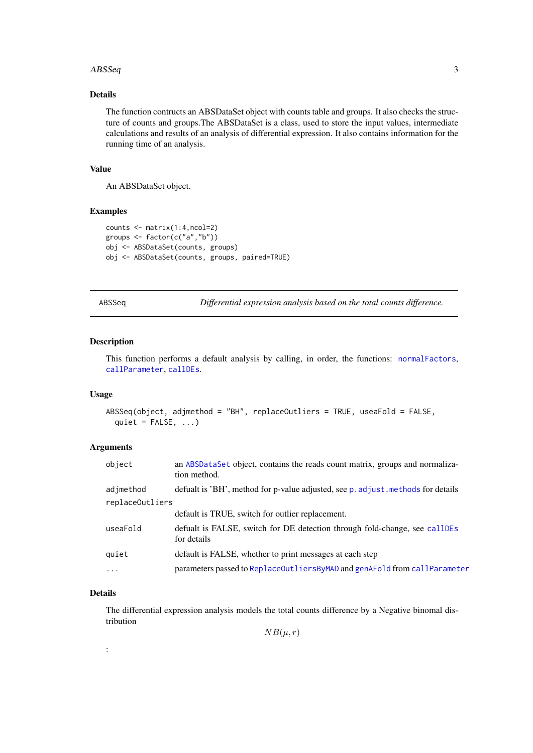#### <span id="page-2-0"></span>ABSSeq 3

## Details

The function contructs an ABSDataSet object with counts table and groups. It also checks the structure of counts and groups.The ABSDataSet is a class, used to store the input values, intermediate calculations and results of an analysis of differential expression. It also contains information for the running time of an analysis.

## Value

An ABSDataSet object.

## Examples

```
counts <- matrix(1:4,ncol=2)
groups <- factor(c("a","b"))
obj <- ABSDataSet(counts, groups)
obj <- ABSDataSet(counts, groups, paired=TRUE)
```
<span id="page-2-1"></span>ABSSeq *Differential expression analysis based on the total counts difference.*

#### Description

This function performs a default analysis by calling, in order, the functions: [normalFactors](#page-16-1), [callParameter](#page-7-1), [callDEs](#page-6-1).

#### Usage

```
ABSSeq(object, adjmethod = "BH", replaceOutliers = TRUE, useaFold = FALSE,
 quiet = FALSE, ...)
```
## Arguments

| object                       | an ABSDataSet object, contains the reads count matrix, groups and normaliza-<br>tion method. |
|------------------------------|----------------------------------------------------------------------------------------------|
| adjmethod<br>replaceOutliers | defualt is 'BH', method for p-value adjusted, see p. adjust. methods for details             |
|                              | default is TRUE, switch for outlier replacement.                                             |
| useaFold                     | defualt is FALSE, switch for DE detection through fold-change, see callDEs<br>for details    |
| quiet                        | default is FALSE, whether to print messages at each step                                     |
| $\cdots$                     | parameters passed to ReplaceOutliersByMAD and genAFold from callParameter                    |

## Details

The differential expression analysis models the total counts difference by a Negative binomal distribution

 $NB(\mu, r)$ 

: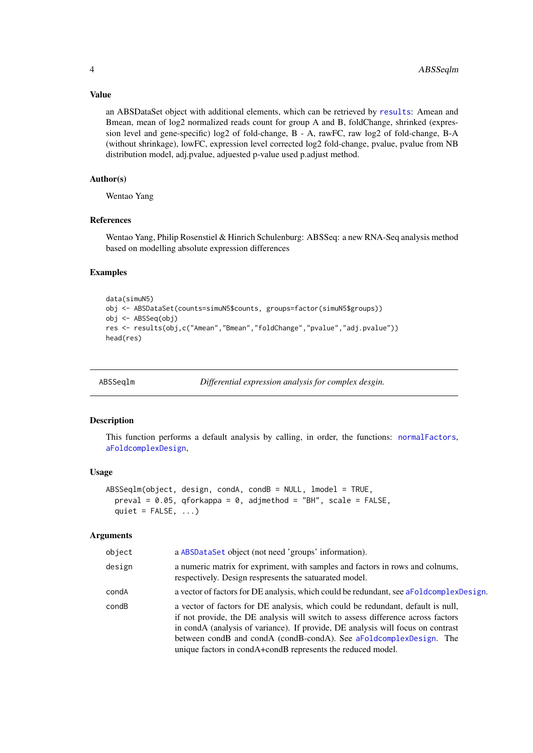## Value

an ABSDataSet object with additional elements, which can be retrieved by [results](#page-20-1): Amean and Bmean, mean of log2 normalized reads count for group A and B, foldChange, shrinked (expression level and gene-specific) log2 of fold-change, B - A, rawFC, raw log2 of fold-change, B-A (without shrinkage), lowFC, expression level corrected log2 fold-change, pvalue, pvalue from NB distribution model, adj.pvalue, adjuested p-value used p.adjust method.

#### Author(s)

Wentao Yang

#### References

Wentao Yang, Philip Rosenstiel & Hinrich Schulenburg: ABSSeq: a new RNA-Seq analysis method based on modelling absolute expression differences

#### Examples

```
data(simuN5)
obj <- ABSDataSet(counts=simuN5$counts, groups=factor(simuN5$groups))
obj <- ABSSeq(obj)
res <- results(obj,c("Amean","Bmean","foldChange","pvalue","adj.pvalue"))
head(res)
```
ABSSeqlm *Differential expression analysis for complex desgin.*

#### Description

This function performs a default analysis by calling, in order, the functions: [normalFactors](#page-16-1), [aFoldcomplexDesign](#page-5-1),

#### Usage

```
ABSSeqlm(object, design, condA, condB = NULL, lmodel = TRUE,preval = 0.05, qforkappa = 0, adjmethod = "BH", scale = FALSE,
 quiet = FALSE, ...)
```
## Arguments

| object | a ABSDataSet object (not need 'groups' information).                                                                                                                                                                                                                                                                                                                                       |
|--------|--------------------------------------------------------------------------------------------------------------------------------------------------------------------------------------------------------------------------------------------------------------------------------------------------------------------------------------------------------------------------------------------|
| design | a numeric matrix for expriment, with samples and factors in rows and colnums,<br>respectively. Design respresents the satuarated model.                                                                                                                                                                                                                                                    |
| condA  | a vector of factors for DE analysis, which could be redundant, see a Foldcomplex Design.                                                                                                                                                                                                                                                                                                   |
| condB  | a vector of factors for DE analysis, which could be redundant, default is null,<br>if not provide, the DE analysis will switch to assess difference across factors<br>in condA (analysis of variance). If provide, DE analysis will focus on contrast<br>between condB and condA (condB-condA). See aFoldcomplexDesign. The<br>unique factors in condA+condB represents the reduced model. |

<span id="page-3-0"></span>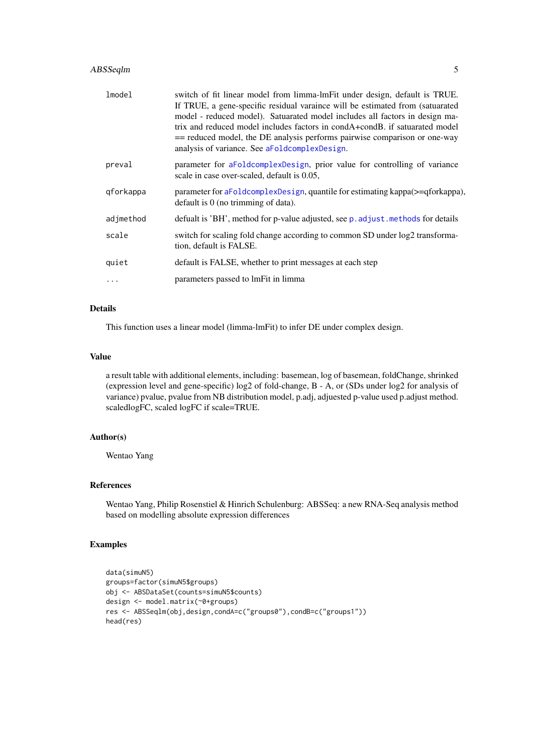#### <span id="page-4-0"></span>ABSSeqlm 5

| lmodel    | switch of fit linear model from limma-lmFit under design, default is TRUE.<br>If TRUE, a gene-specific residual varaince will be estimated from (satuarated<br>model - reduced model). Satuarated model includes all factors in design ma-<br>trix and reduced model includes factors in condA+condB, if satuarated model<br>== reduced model, the DE analysis performs pairwise comparison or one-way<br>analysis of variance. See aFoldcomplexDesign. |
|-----------|---------------------------------------------------------------------------------------------------------------------------------------------------------------------------------------------------------------------------------------------------------------------------------------------------------------------------------------------------------------------------------------------------------------------------------------------------------|
| preval    | parameter for aFoldcomplexDesign, prior value for controlling of variance<br>scale in case over-scaled, default is 0.05,                                                                                                                                                                                                                                                                                                                                |
| qforkappa | parameter for aFoldcomplexDesign, quantile for estimating kappa(>=qforkappa),<br>default is 0 (no trimming of data).                                                                                                                                                                                                                                                                                                                                    |
| adjmethod | defualt is 'BH', method for p-value adjusted, see p. adjust. methods for details                                                                                                                                                                                                                                                                                                                                                                        |
| scale     | switch for scaling fold change according to common SD under log2 transforma-<br>tion, default is FALSE.                                                                                                                                                                                                                                                                                                                                                 |
| quiet     | default is FALSE, whether to print messages at each step                                                                                                                                                                                                                                                                                                                                                                                                |
|           | parameters passed to lmFit in limma                                                                                                                                                                                                                                                                                                                                                                                                                     |

# Details

This function uses a linear model (limma-lmFit) to infer DE under complex design.

#### Value

a result table with additional elements, including: basemean, log of basemean, foldChange, shrinked (expression level and gene-specific) log2 of fold-change, B - A, or (SDs under log2 for analysis of variance) pvalue, pvalue from NB distribution model, p.adj, adjuested p-value used p.adjust method. scaledlogFC, scaled logFC if scale=TRUE.

## Author(s)

Wentao Yang

# References

Wentao Yang, Philip Rosenstiel & Hinrich Schulenburg: ABSSeq: a new RNA-Seq analysis method based on modelling absolute expression differences

```
data(simuN5)
groups=factor(simuN5$groups)
obj <- ABSDataSet(counts=simuN5$counts)
design <- model.matrix(~0+groups)
res <- ABSSeqlm(obj,design,condA=c("groups0"),condB=c("groups1"))
head(res)
```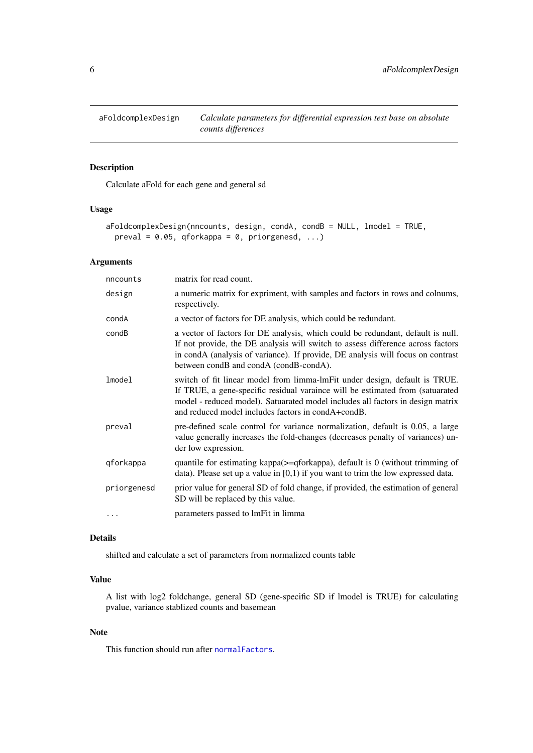<span id="page-5-1"></span><span id="page-5-0"></span>

Calculate aFold for each gene and general sd

## Usage

```
aFoldcomplexDesign(nncounts, design, condA, condB = NULL, lmodel = TRUE,
 preval = 0.05, qforkappa = 0, priorgenesd, ...)
```
## Arguments

| nncounts    | matrix for read count.                                                                                                                                                                                                                                                                              |
|-------------|-----------------------------------------------------------------------------------------------------------------------------------------------------------------------------------------------------------------------------------------------------------------------------------------------------|
| design      | a numeric matrix for expriment, with samples and factors in rows and colnums,<br>respectively.                                                                                                                                                                                                      |
| condA       | a vector of factors for DE analysis, which could be redundant.                                                                                                                                                                                                                                      |
| condB       | a vector of factors for DE analysis, which could be redundant, default is null.<br>If not provide, the DE analysis will switch to assess difference across factors<br>in condA (analysis of variance). If provide, DE analysis will focus on contrast<br>between condB and condA (condB-condA).     |
| lmode1      | switch of fit linear model from limma-lmFit under design, default is TRUE.<br>If TRUE, a gene-specific residual varaince will be estimated from (satuarated<br>model - reduced model). Satuarated model includes all factors in design matrix<br>and reduced model includes factors in condA+condB. |
| preval      | pre-defined scale control for variance normalization, default is 0.05, a large<br>value generally increases the fold-changes (decreases penalty of variances) un-<br>der low expression.                                                                                                            |
| gforkappa   | quantile for estimating kappa $(>=$ qforkappa), default is 0 (without trimming of<br>data). Please set up a value in $[0,1)$ if you want to trim the low expressed data.                                                                                                                            |
| priorgenesd | prior value for general SD of fold change, if provided, the estimation of general<br>SD will be replaced by this value.                                                                                                                                                                             |
| .           | parameters passed to lmFit in limma                                                                                                                                                                                                                                                                 |

## Details

shifted and calculate a set of parameters from normalized counts table

## Value

A list with log2 foldchange, general SD (gene-specific SD if lmodel is TRUE) for calculating pvalue, variance stablized counts and basemean

#### Note

This function should run after [normalFactors](#page-16-1).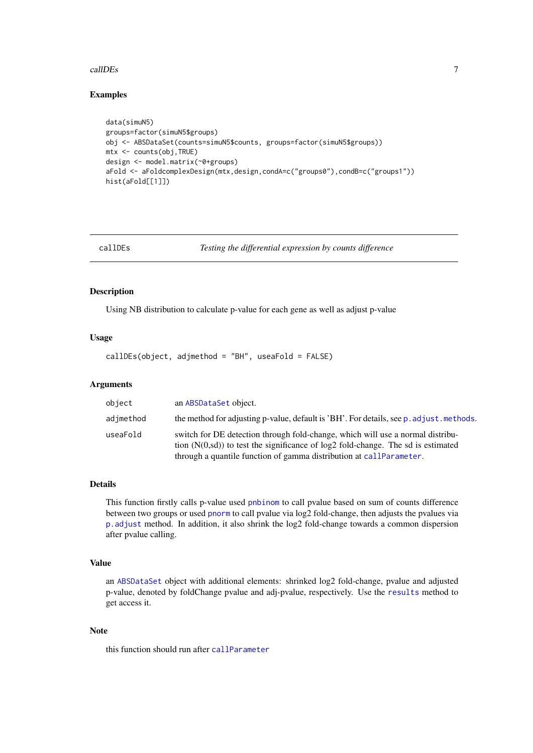#### <span id="page-6-0"></span>callDEs  $\overline{7}$

#### Examples

```
data(simuN5)
groups=factor(simuN5$groups)
obj <- ABSDataSet(counts=simuN5$counts, groups=factor(simuN5$groups))
mtx <- counts(obj,TRUE)
design <- model.matrix(~0+groups)
aFold <- aFoldcomplexDesign(mtx,design,condA=c("groups0"),condB=c("groups1"))
hist(aFold[[1]])
```
<span id="page-6-1"></span>

callDEs *Testing the differential expression by counts difference*

## Description

Using NB distribution to calculate p-value for each gene as well as adjust p-value

#### Usage

callDEs(object, adjmethod = "BH", useaFold = FALSE)

#### Arguments

| object    | an ABSDataSet object.                                                                                                                                                                                                                          |
|-----------|------------------------------------------------------------------------------------------------------------------------------------------------------------------------------------------------------------------------------------------------|
| adjmethod | the method for adjusting p-value, default is 'BH'. For details, see p. adjust. methods.                                                                                                                                                        |
| useaFold  | switch for DE detection through fold-change, which will use a normal distribu-<br>tion $(N(0, sd))$ to test the significance of $log2$ fold-change. The sd is estimated<br>through a quantile function of gamma distribution at callParameter. |

#### Details

This function firstly calls p-value used [pnbinom](#page-0-0) to call pvalue based on sum of counts difference between two groups or used [pnorm](#page-0-0) to call pvalue via log2 fold-change, then adjusts the pvalues via [p.adjust](#page-0-0) method. In addition, it also shrink the log2 fold-change towards a common dispersion after pvalue calling.

## Value

an [ABSDataSet](#page-1-1) object with additional elements: shrinked log2 fold-change, pvalue and adjusted p-value, denoted by foldChange pvalue and adj-pvalue, respectively. Use the [results](#page-20-1) method to get access it.

## Note

this function should run after [callParameter](#page-7-1)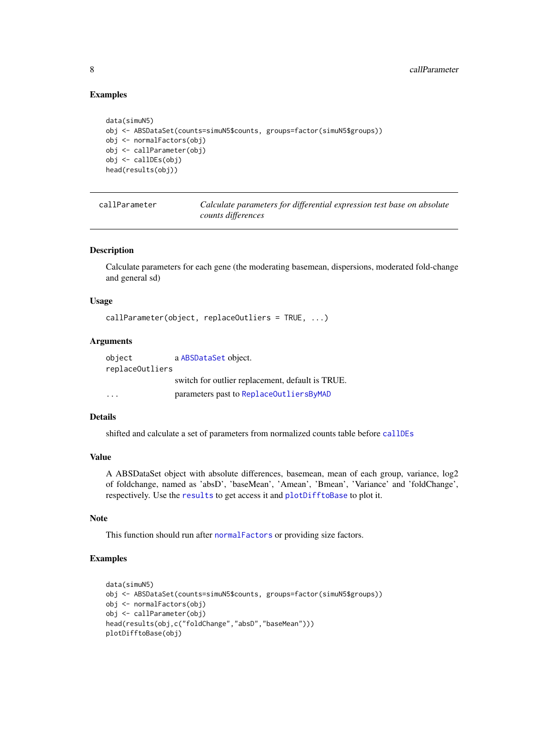#### Examples

```
data(simuN5)
obj <- ABSDataSet(counts=simuN5$counts, groups=factor(simuN5$groups))
obj <- normalFactors(obj)
obj <- callParameter(obj)
obj <- callDEs(obj)
head(results(obj))
```
callParameter *Calculate parameters for differential expression test base on absolute counts differences*

## Description

Calculate parameters for each gene (the moderating basemean, dispersions, moderated fold-change and general sd)

#### Usage

```
callParameter(object, replaceOutliers = TRUE, ...)
```
#### Arguments

| object                  | a ABSDataSet object.                             |  |
|-------------------------|--------------------------------------------------|--|
| replaceOutliers         |                                                  |  |
|                         | switch for outlier replacement, default is TRUE. |  |
| $\cdot$ $\cdot$ $\cdot$ | parameters past to ReplaceOutliersByMAD          |  |

## Details

shifted and calculate a set of parameters from normalized counts table before [callDEs](#page-6-1)

## Value

A ABSDataSet object with absolute differences, basemean, mean of each group, variance, log2 of foldchange, named as 'absD', 'baseMean', 'Amean', 'Bmean', 'Variance' and 'foldChange', respectively. Use the [results](#page-20-1) to get access it and [plotDifftoBase](#page-18-1) to plot it.

#### Note

This function should run after [normalFactors](#page-16-1) or providing size factors.

```
data(simuN5)
obj <- ABSDataSet(counts=simuN5$counts, groups=factor(simuN5$groups))
obj <- normalFactors(obj)
obj <- callParameter(obj)
head(results(obj,c("foldChange","absD","baseMean")))
plotDifftoBase(obj)
```
<span id="page-7-0"></span>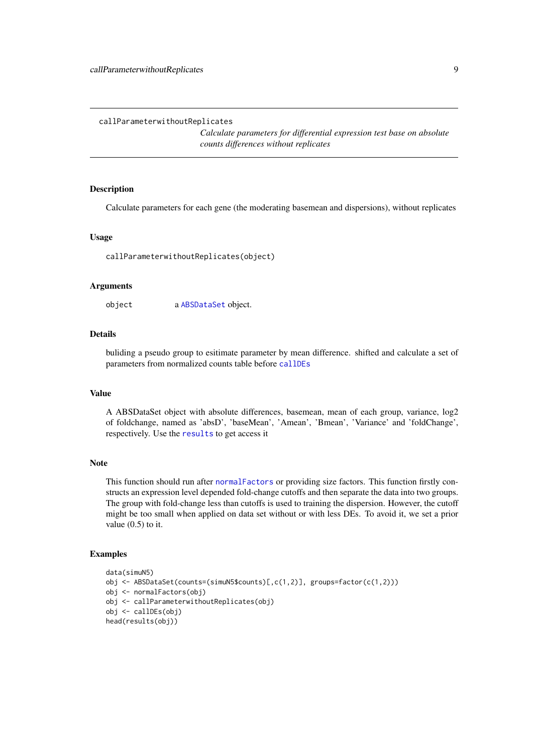<span id="page-8-0"></span>callParameterwithoutReplicates

*Calculate parameters for differential expression test base on absolute counts differences without replicates*

#### Description

Calculate parameters for each gene (the moderating basemean and dispersions), without replicates

#### Usage

callParameterwithoutReplicates(object)

#### Arguments

object a [ABSDataSet](#page-1-1) object.

## Details

buliding a pseudo group to esitimate parameter by mean difference. shifted and calculate a set of parameters from normalized counts table before [callDEs](#page-6-1)

#### Value

A ABSDataSet object with absolute differences, basemean, mean of each group, variance, log2 of foldchange, named as 'absD', 'baseMean', 'Amean', 'Bmean', 'Variance' and 'foldChange', respectively. Use the [results](#page-20-1) to get access it

#### Note

This function should run after [normalFactors](#page-16-1) or providing size factors. This function firstly constructs an expression level depended fold-change cutoffs and then separate the data into two groups. The group with fold-change less than cutoffs is used to training the dispersion. However, the cutoff might be too small when applied on data set without or with less DEs. To avoid it, we set a prior value  $(0.5)$  to it.

```
data(simuN5)
obj <- ABSDataSet(counts=(simuN5$counts)[,c(1,2)], groups=factor(c(1,2)))
obj <- normalFactors(obj)
obj <- callParameterwithoutReplicates(obj)
obj <- callDEs(obj)
head(results(obj))
```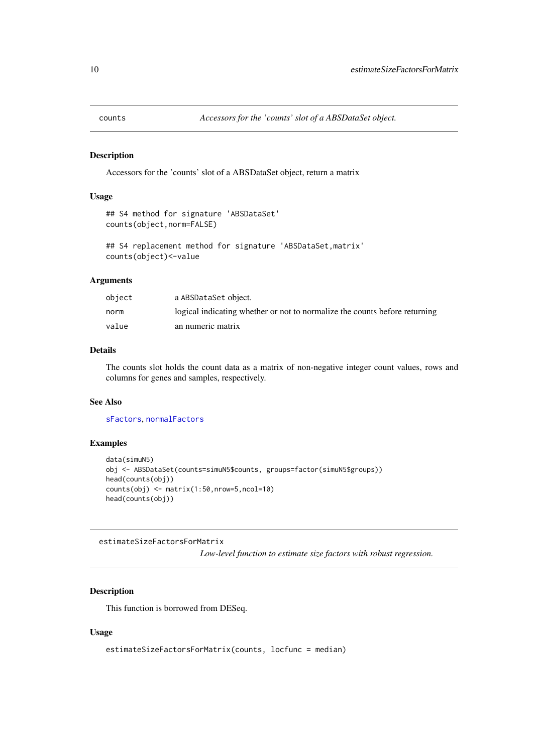<span id="page-9-0"></span>

Accessors for the 'counts' slot of a ABSDataSet object, return a matrix

## Usage

```
## S4 method for signature 'ABSDataSet'
counts(object,norm=FALSE)
```

```
## S4 replacement method for signature 'ABSDataSet,matrix'
counts(object)<-value
```
# Arguments

| object | a ABSDataSet object.                                                       |
|--------|----------------------------------------------------------------------------|
| norm   | logical indicating whether or not to normalize the counts before returning |
| value  | an numeric matrix                                                          |

# Details

The counts slot holds the count data as a matrix of non-negative integer count values, rows and columns for genes and samples, respectively.

## See Also

[sFactors](#page-21-1), [normalFactors](#page-16-1)

#### Examples

```
data(simuN5)
obj <- ABSDataSet(counts=simuN5$counts, groups=factor(simuN5$groups))
head(counts(obj))
counts(obj) <- matrix(1:50,nrow=5,ncol=10)
head(counts(obj))
```
estimateSizeFactorsForMatrix

*Low-level function to estimate size factors with robust regression.*

## Description

This function is borrowed from DESeq.

```
estimateSizeFactorsForMatrix(counts, locfunc = median)
```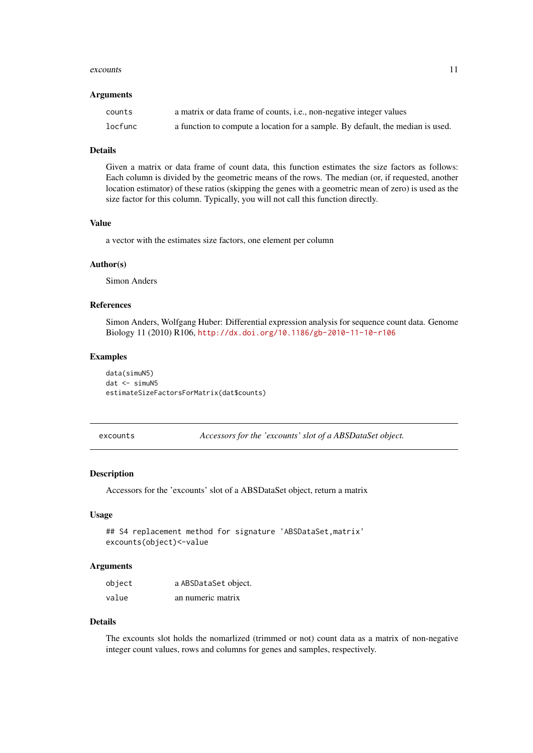#### <span id="page-10-0"></span>excounts and the contract of the contract of the contract of the contract of the contract of the contract of the contract of the contract of the contract of the contract of the contract of the contract of the contract of t

#### Arguments

| counts  | a matrix or data frame of counts, <i>i.e.</i> , non-negative integer values    |
|---------|--------------------------------------------------------------------------------|
| locfunc | a function to compute a location for a sample. By default, the median is used. |

#### Details

Given a matrix or data frame of count data, this function estimates the size factors as follows: Each column is divided by the geometric means of the rows. The median (or, if requested, another location estimator) of these ratios (skipping the genes with a geometric mean of zero) is used as the size factor for this column. Typically, you will not call this function directly.

#### Value

a vector with the estimates size factors, one element per column

#### Author(s)

Simon Anders

#### References

Simon Anders, Wolfgang Huber: Differential expression analysis for sequence count data. Genome Biology 11 (2010) R106, <http://dx.doi.org/10.1186/gb-2010-11-10-r106>

#### Examples

data(simuN5) dat <- simuN5 estimateSizeFactorsForMatrix(dat\$counts)

<span id="page-10-1"></span>excounts *Accessors for the 'excounts' slot of a ABSDataSet object.*

#### Description

Accessors for the 'excounts' slot of a ABSDataSet object, return a matrix

## Usage

```
## S4 replacement method for signature 'ABSDataSet,matrix'
excounts(object)<-value
```
## Arguments

| object | a ABSDataSet object. |
|--------|----------------------|
| value  | an numeric matrix    |

## Details

The excounts slot holds the nomarlized (trimmed or not) count data as a matrix of non-negative integer count values, rows and columns for genes and samples, respectively.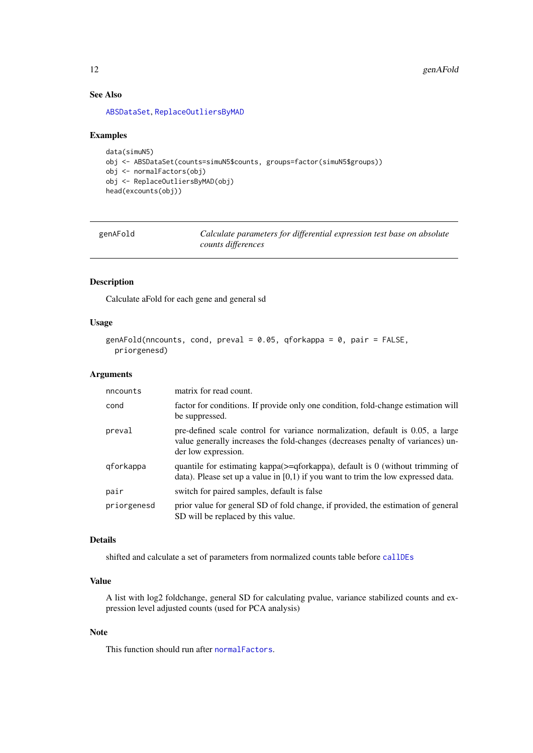## See Also

[ABSDataSet](#page-1-1), [ReplaceOutliersByMAD](#page-19-1)

#### Examples

```
data(simuN5)
obj <- ABSDataSet(counts=simuN5$counts, groups=factor(simuN5$groups))
obj <- normalFactors(obj)
obj <- ReplaceOutliersByMAD(obj)
head(excounts(obj))
```
<span id="page-11-1"></span>

| genAFold |  |
|----------|--|
|----------|--|

Calculate parameters for differential expression test base on absolute *counts differences*

## Description

Calculate aFold for each gene and general sd

#### Usage

```
genAFold(nncounts, cond, preval = 0.05, qforkappa = 0, pair = FALSE,
 priorgenesd)
```
#### Arguments

| nncounts    | matrix for read count.                                                                                                                                                                   |
|-------------|------------------------------------------------------------------------------------------------------------------------------------------------------------------------------------------|
| cond        | factor for conditions. If provide only one condition, fold-change estimation will<br>be suppressed.                                                                                      |
| preval      | pre-defined scale control for variance normalization, default is 0.05, a large<br>value generally increases the fold-changes (decreases penalty of variances) un-<br>der low expression. |
| qforkappa   | quantile for estimating kappa( $>=$ qforkappa), default is 0 (without trimming of<br>data). Please set up a value in $[0,1)$ if you want to trim the low expressed data.                 |
| pair        | switch for paired samples, default is false                                                                                                                                              |
| priorgenesd | prior value for general SD of fold change, if provided, the estimation of general<br>SD will be replaced by this value.                                                                  |

## Details

shifted and calculate a set of parameters from normalized counts table before [callDEs](#page-6-1)

#### Value

A list with log2 foldchange, general SD for calculating pvalue, variance stabilized counts and expression level adjusted counts (used for PCA analysis)

#### Note

This function should run after [normalFactors](#page-16-1).

<span id="page-11-0"></span>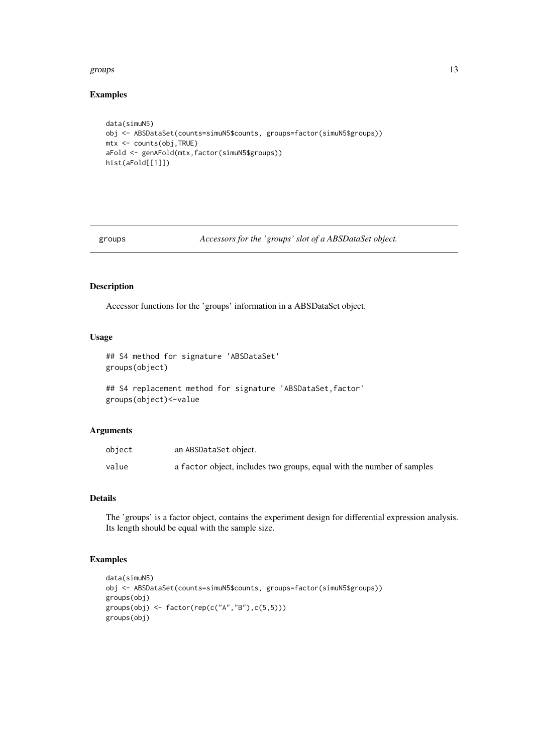#### <span id="page-12-0"></span>groups and the state of the state of the state of the state of the state of the state of the state of the state of the state of the state of the state of the state of the state of the state of the state of the state of the

## Examples

```
data(simuN5)
obj <- ABSDataSet(counts=simuN5$counts, groups=factor(simuN5$groups))
mtx <- counts(obj,TRUE)
aFold <- genAFold(mtx,factor(simuN5$groups))
hist(aFold[[1]])
```
groups *Accessors for the 'groups' slot of a ABSDataSet object.*

## Description

Accessor functions for the 'groups' information in a ABSDataSet object.

## Usage

```
## S4 method for signature 'ABSDataSet'
groups(object)
```

```
## S4 replacement method for signature 'ABSDataSet, factor'
groups(object)<-value
```
#### Arguments

| object | an ABSDataSet object.                                                  |
|--------|------------------------------------------------------------------------|
| value  | a factor object, includes two groups, equal with the number of samples |

## Details

The 'groups' is a factor object, contains the experiment design for differential expression analysis. Its length should be equal with the sample size.

```
data(simuN5)
obj <- ABSDataSet(counts=simuN5$counts, groups=factor(simuN5$groups))
groups(obj)
groups(obj) <- factor(rep(c("A","B"),c(5,5)))
groups(obj)
```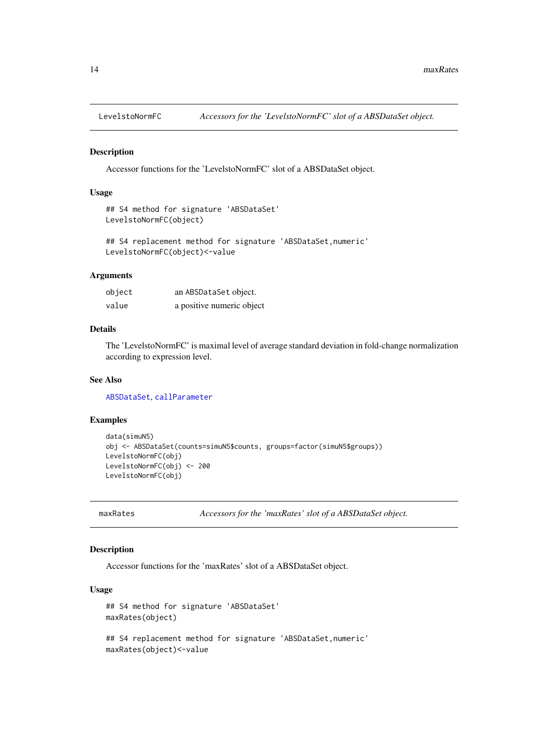<span id="page-13-0"></span>

Accessor functions for the 'LevelstoNormFC' slot of a ABSDataSet object.

# Usage

```
## S4 method for signature 'ABSDataSet'
LevelstoNormFC(object)
```

```
## S4 replacement method for signature 'ABSDataSet, numeric'
LevelstoNormFC(object)<-value
```
## Arguments

| object | an ABSDataSet object.     |
|--------|---------------------------|
| value  | a positive numeric object |

## Details

The 'LevelstoNormFC' is maximal level of average standard deviation in fold-change normalization according to expression level.

## See Also

[ABSDataSet](#page-1-1), [callParameter](#page-7-1)

## Examples

```
data(simuN5)
obj <- ABSDataSet(counts=simuN5$counts, groups=factor(simuN5$groups))
LevelstoNormFC(obj)
LevelstoNormFC(obj) <- 200
LevelstoNormFC(obj)
```
maxRates *Accessors for the 'maxRates' slot of a ABSDataSet object.*

#### Description

Accessor functions for the 'maxRates' slot of a ABSDataSet object.

```
## S4 method for signature 'ABSDataSet'
maxRates(object)
## S4 replacement method for signature 'ABSDataSet,numeric'
maxRates(object)<-value
```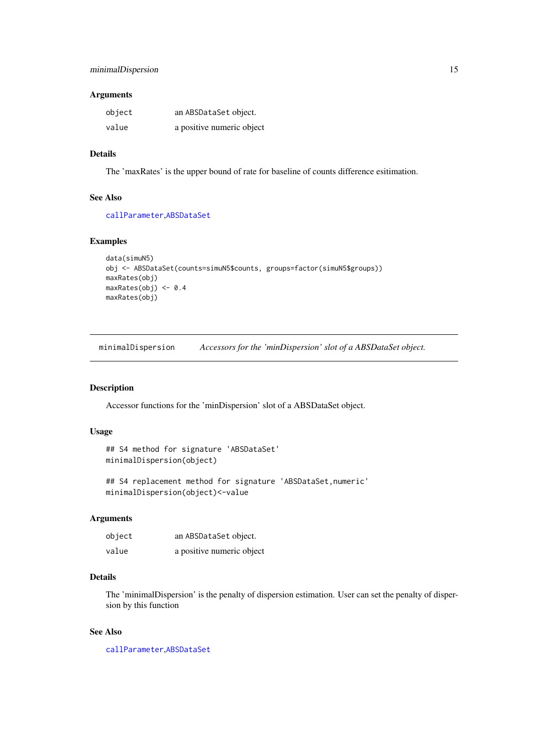## <span id="page-14-0"></span>Arguments

| object | an ABSDataSet object.     |
|--------|---------------------------|
| value  | a positive numeric object |

## Details

The 'maxRates' is the upper bound of rate for baseline of counts difference esitimation.

#### See Also

[callParameter](#page-7-1),[ABSDataSet](#page-1-1)

## Examples

```
data(simuN5)
obj <- ABSDataSet(counts=simuN5$counts, groups=factor(simuN5$groups))
maxRates(obj)
maxRates(obj) <- 0.4
maxRates(obj)
```
minimalDispersion *Accessors for the 'minDispersion' slot of a ABSDataSet object.*

## Description

Accessor functions for the 'minDispersion' slot of a ABSDataSet object.

#### Usage

```
## S4 method for signature 'ABSDataSet'
minimalDispersion(object)
```

```
## S4 replacement method for signature 'ABSDataSet,numeric'
minimalDispersion(object)<-value
```
## Arguments

| object | an ABSDataSet object.     |
|--------|---------------------------|
| value  | a positive numeric object |

#### Details

The 'minimalDispersion' is the penalty of dispersion estimation. User can set the penalty of dispersion by this function

## See Also

[callParameter](#page-7-1),[ABSDataSet](#page-1-1)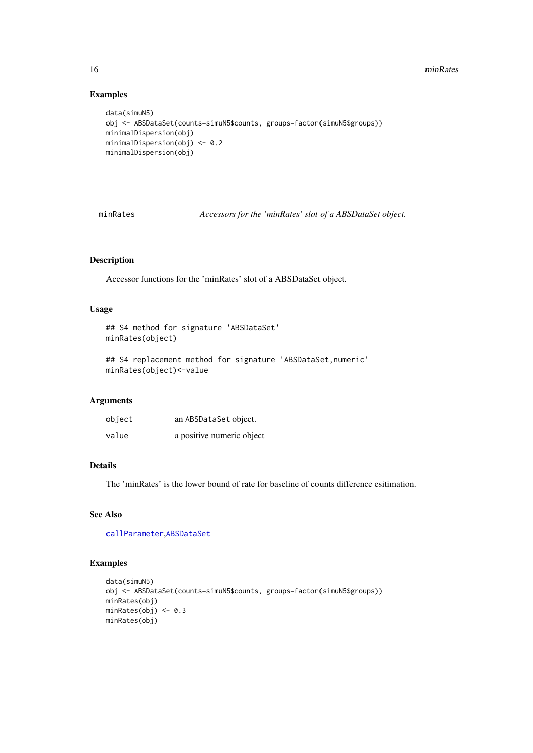## Examples

```
data(simuN5)
obj <- ABSDataSet(counts=simuN5$counts, groups=factor(simuN5$groups))
minimalDispersion(obj)
minimalDispersion(obj) <- 0.2
minimalDispersion(obj)
```
minRates *Accessors for the 'minRates' slot of a ABSDataSet object.*

## Description

Accessor functions for the 'minRates' slot of a ABSDataSet object.

## Usage

```
## S4 method for signature 'ABSDataSet'
minRates(object)
```

```
## S4 replacement method for signature 'ABSDataSet, numeric'
minRates(object)<-value
```
## Arguments

| object | an ABSDataSet object.     |
|--------|---------------------------|
| value  | a positive numeric object |

# Details

The 'minRates' is the lower bound of rate for baseline of counts difference esitimation.

## See Also

[callParameter](#page-7-1),[ABSDataSet](#page-1-1)

```
data(simuN5)
obj <- ABSDataSet(counts=simuN5$counts, groups=factor(simuN5$groups))
minRates(obj)
minRates(obj) <- 0.3
minRates(obj)
```
<span id="page-15-0"></span>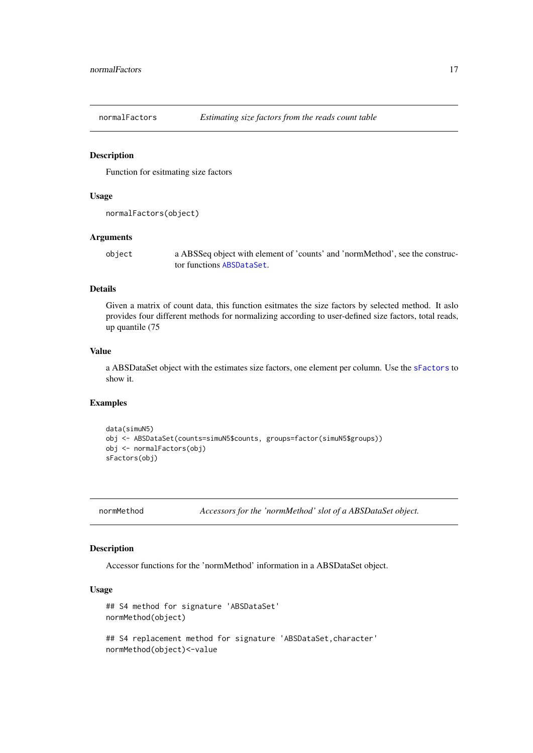<span id="page-16-1"></span><span id="page-16-0"></span>

Function for esitmating size factors

## Usage

```
normalFactors(object)
```
#### Arguments

object a ABSSeq object with element of 'counts' and 'normMethod', see the constructor functions [ABSDataSet](#page-1-1).

## Details

Given a matrix of count data, this function esitmates the size factors by selected method. It aslo provides four different methods for normalizing according to user-defined size factors, total reads, up quantile (75

#### Value

a ABSDataSet object with the estimates size factors, one element per column. Use the [sFactors](#page-21-1) to show it.

#### Examples

```
data(simuN5)
obj <- ABSDataSet(counts=simuN5$counts, groups=factor(simuN5$groups))
obj <- normalFactors(obj)
sFactors(obj)
```
normMethod *Accessors for the 'normMethod' slot of a ABSDataSet object.*

#### Description

Accessor functions for the 'normMethod' information in a ABSDataSet object.

#### Usage

```
## S4 method for signature 'ABSDataSet'
normMethod(object)
```
## S4 replacement method for signature 'ABSDataSet, character' normMethod(object)<-value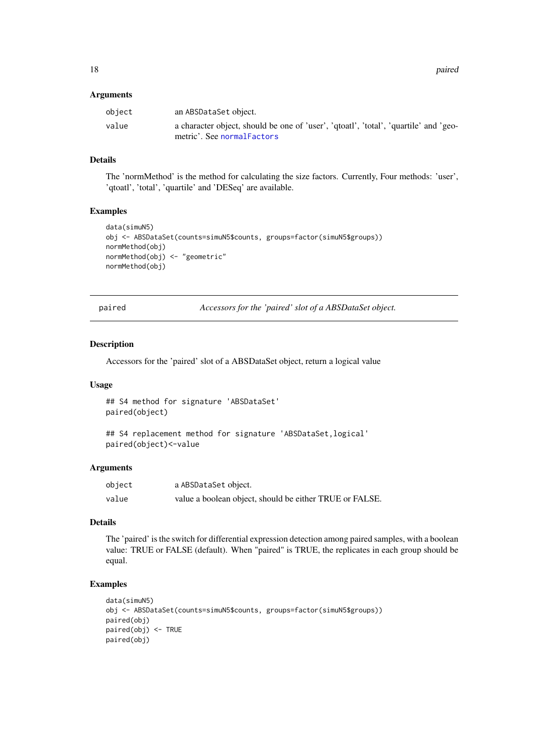<span id="page-17-0"></span>18 **pairs and the contract of the contract of the contract of the contract of the contract of the contract of the contract of the contract of the contract of the contract of the contract of the contract of the contract of** 

#### Arguments

| object | an ABSDataSet object.                                                                                               |
|--------|---------------------------------------------------------------------------------------------------------------------|
| value  | a character object, should be one of 'user', 'qtoatl', 'total', 'quartile' and 'geo-<br>metric'. See normal Factors |

#### Details

The 'normMethod' is the method for calculating the size factors. Currently, Four methods: 'user', 'qtoatl', 'total', 'quartile' and 'DESeq' are available.

## Examples

```
data(simuN5)
obj <- ABSDataSet(counts=simuN5$counts, groups=factor(simuN5$groups))
normMethod(obj)
normMethod(obj) <- "geometric"
normMethod(obj)
```
paired *Accessors for the 'paired' slot of a ABSDataSet object.*

#### Description

Accessors for the 'paired' slot of a ABSDataSet object, return a logical value

#### Usage

```
## S4 method for signature 'ABSDataSet'
paired(object)
```

```
## S4 replacement method for signature 'ABSDataSet,logical'
paired(object)<-value
```
## Arguments

| object | a ABSDataSet object.                                    |
|--------|---------------------------------------------------------|
| value  | value a boolean object, should be either TRUE or FALSE. |

# Details

The 'paired' is the switch for differential expression detection among paired samples, with a boolean value: TRUE or FALSE (default). When "paired" is TRUE, the replicates in each group should be equal.

```
data(simuN5)
obj <- ABSDataSet(counts=simuN5$counts, groups=factor(simuN5$groups))
paired(obj)
paired(obj) <- TRUE
paired(obj)
```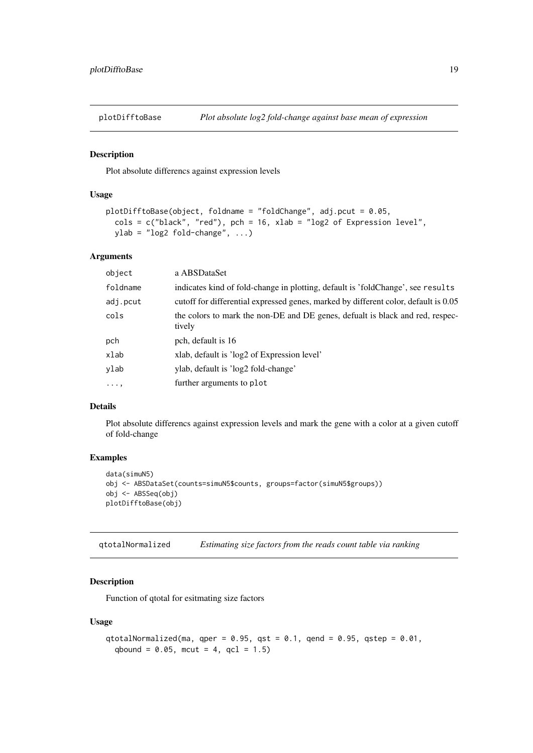<span id="page-18-1"></span><span id="page-18-0"></span>

Plot absolute differencs against expression levels

### Usage

```
plotDifftoBase(object, foldname = "foldChange", adj.pcut = 0.05,
 cols = c("black", "red"), pch = 16, xlab = "log2 of Expression level",
 ylab = "log2 fold-change", ...)
```
## Arguments

| object     | a ABSDataSet                                                                            |
|------------|-----------------------------------------------------------------------------------------|
| foldname   | indicates kind of fold-change in plotting, default is 'foldChange', see results         |
| adj.pcut   | cutoff for differential expressed genes, marked by different color, default is 0.05     |
| cols       | the colors to mark the non-DE and DE genes, defualt is black and red, respec-<br>tively |
| pch        | pch, default is 16                                                                      |
| xlab       | xlab, default is 'log2 of Expression level'                                             |
| ylab       | ylab, default is 'log2 fold-change'                                                     |
| $\cdots$ , | further arguments to plot                                                               |

## Details

Plot absolute differencs against expression levels and mark the gene with a color at a given cutoff of fold-change

## Examples

```
data(simuN5)
obj <- ABSDataSet(counts=simuN5$counts, groups=factor(simuN5$groups))
obj <- ABSSeq(obj)
plotDifftoBase(obj)
```
qtotalNormalized *Estimating size factors from the reads count table via ranking*

## Description

Function of qtotal for esitmating size factors

```
qtotalNormalized(ma, qper = 0.95, qst = 0.1, qend = 0.95, qstep = 0.01,
 qbound = 0.05, mcut = 4, qcl = 1.5)
```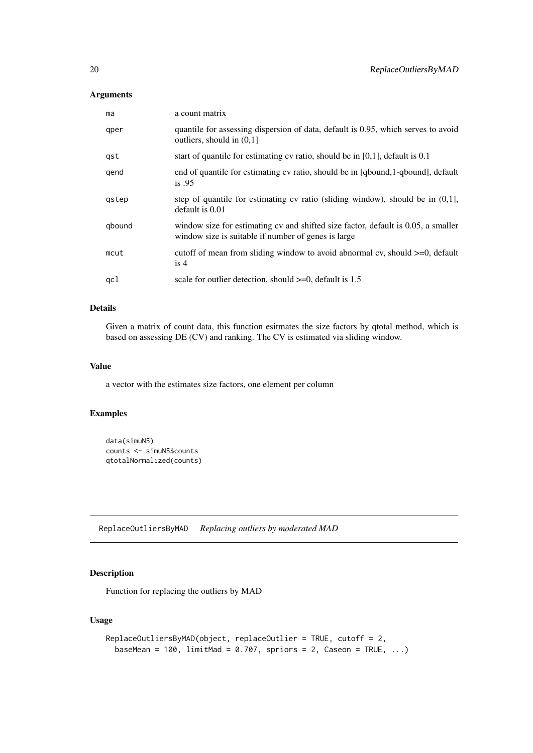## <span id="page-19-0"></span>Arguments

| ma     | a count matrix                                                                                                                            |
|--------|-------------------------------------------------------------------------------------------------------------------------------------------|
| qper   | quantile for assessing dispersion of data, default is 0.95, which serves to avoid<br>outliers, should in $(0,1]$                          |
| gst    | start of quantile for estimating $cv$ ratio, should be in $[0,1]$ , default is $0.1$                                                      |
| qend   | end of quantile for estimating cv ratio, should be in [qbound,1-qbound], default<br>is.95                                                 |
| gstep  | step of quantile for estimating cv ratio (sliding window), should be in $(0,1]$ ,<br>default is 0.01                                      |
| qbound | window size for estimating cv and shifted size factor, default is 0.05, a smaller<br>window size is suitable if number of genes is large. |
| mcut   | cutoff of mean from sliding window to avoid abnormal cv, should $>=0$ , default<br>is $4$                                                 |
| qcl    | scale for outlier detection, should $>=0$ , default is 1.5                                                                                |

## Details

Given a matrix of count data, this function esitmates the size factors by qtotal method, which is based on assessing DE (CV) and ranking. The CV is estimated via sliding window.

#### Value

a vector with the estimates size factors, one element per column

## Examples

```
data(simuN5)
counts <- simuN5$counts
qtotalNormalized(counts)
```
<span id="page-19-1"></span>ReplaceOutliersByMAD *Replacing outliers by moderated MAD*

# Description

Function for replacing the outliers by MAD

```
ReplaceOutliersByMAD(object, replaceOutlier = TRUE, cutoff = 2,
 baseMean = 100, limitMad = 0.707, spriors = 2, Caseon = TRUE, ...)
```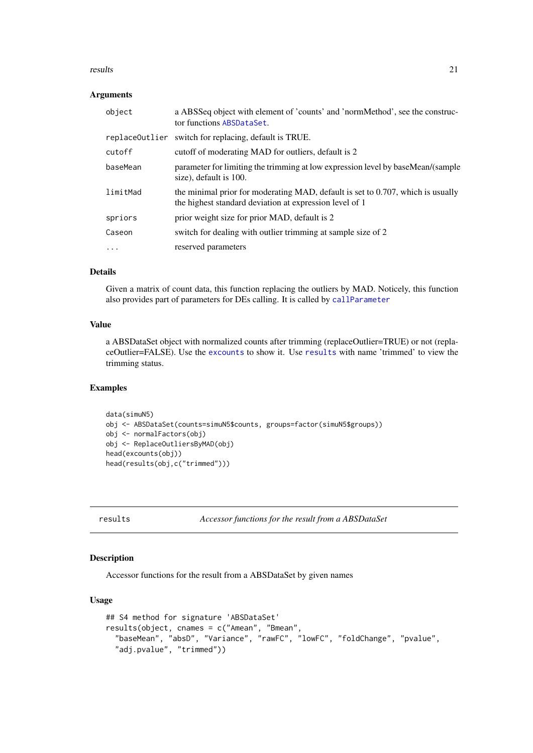#### <span id="page-20-0"></span>results 21

#### Arguments

| object   | a ABSSeq object with element of 'counts' and 'normMethod', see the construc-<br>tor functions ABSDataSet.                                  |
|----------|--------------------------------------------------------------------------------------------------------------------------------------------|
|          | replace Outlier switch for replacing, default is TRUE.                                                                                     |
| cutoff   | cutoff of moderating MAD for outliers, default is 2                                                                                        |
| baseMean | parameter for limiting the trimming at low expression level by baseMean/(sample<br>size), default is 100.                                  |
| limitMad | the minimal prior for moderating MAD, default is set to 0.707, which is usually<br>the highest standard deviation at expression level of 1 |
| spriors  | prior weight size for prior MAD, default is 2                                                                                              |
| Caseon   | switch for dealing with outlier trimming at sample size of 2                                                                               |
| $\ddots$ | reserved parameters                                                                                                                        |

# Details

Given a matrix of count data, this function replacing the outliers by MAD. Noticely, this function also provides part of parameters for DEs calling. It is called by [callParameter](#page-7-1)

## Value

a ABSDataSet object with normalized counts after trimming (replaceOutlier=TRUE) or not (replaceOutlier=FALSE). Use the [excounts](#page-10-1) to show it. Use [results](#page-20-1) with name 'trimmed' to view the trimming status.

## Examples

```
data(simuN5)
obj <- ABSDataSet(counts=simuN5$counts, groups=factor(simuN5$groups))
obj <- normalFactors(obj)
obj <- ReplaceOutliersByMAD(obj)
head(excounts(obj))
head(results(obj,c("trimmed")))
```
<span id="page-20-1"></span>results *Accessor functions for the result from a ABSDataSet*

## Description

Accessor functions for the result from a ABSDataSet by given names

```
## S4 method for signature 'ABSDataSet'
results(object, cnames = c("Amean", "Bmean",
  "baseMean", "absD", "Variance", "rawFC", "lowFC", "foldChange", "pvalue",
 "adj.pvalue", "trimmed"))
```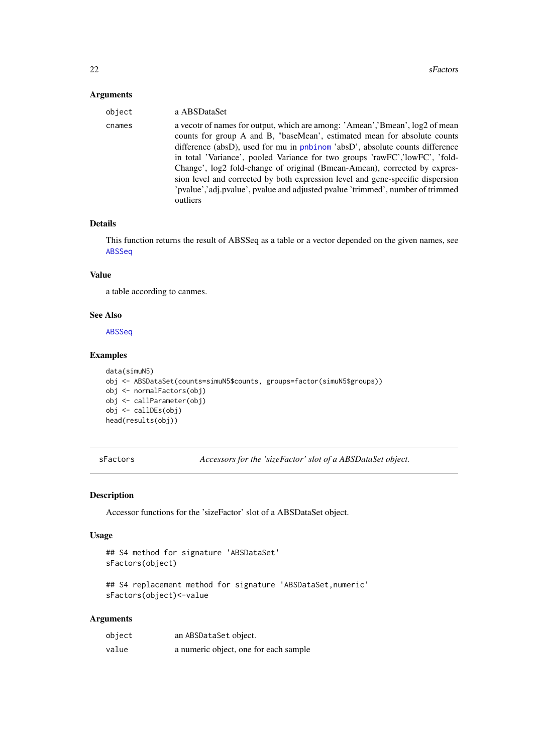## <span id="page-21-0"></span>Arguments

| object | a ABSDataSet                                                                                                                                                                                                                                                                                                                                                                                                                                                                                                                                                                             |
|--------|------------------------------------------------------------------------------------------------------------------------------------------------------------------------------------------------------------------------------------------------------------------------------------------------------------------------------------------------------------------------------------------------------------------------------------------------------------------------------------------------------------------------------------------------------------------------------------------|
| cnames | a vecotr of names for output, which are among: 'Amean', 'Bmean', $log2$ of mean<br>counts for group A and B, "baseMean', estimated mean for absolute counts<br>difference (absD), used for mu in pnbinom 'absD', absolute counts difference<br>in total 'Variance', pooled Variance for two groups 'rawFC', lowFC', 'fold-<br>Change', log2 fold-change of original (Bmean-Amean), corrected by expres-<br>sion level and corrected by both expression level and gene-specific dispersion<br>'pvalue','adj.pvalue', pvalue and adjusted pvalue 'trimmed', number of trimmed'<br>outliers |

## Details

This function returns the result of ABSSeq as a table or a vector depended on the given names, see [ABSSeq](#page-2-1)

#### Value

a table according to canmes.

#### See Also

[ABSSeq](#page-2-1)

## Examples

```
data(simuN5)
obj <- ABSDataSet(counts=simuN5$counts, groups=factor(simuN5$groups))
obj <- normalFactors(obj)
obj <- callParameter(obj)
obj <- callDEs(obj)
head(results(obj))
```
<span id="page-21-1"></span>sFactors *Accessors for the 'sizeFactor' slot of a ABSDataSet object.*

#### Description

Accessor functions for the 'sizeFactor' slot of a ABSDataSet object.

#### Usage

```
## S4 method for signature 'ABSDataSet'
sFactors(object)
```
## S4 replacement method for signature 'ABSDataSet, numeric' sFactors(object)<-value

## Arguments

| object | an ABSDataSet object.                 |
|--------|---------------------------------------|
| value  | a numeric object, one for each sample |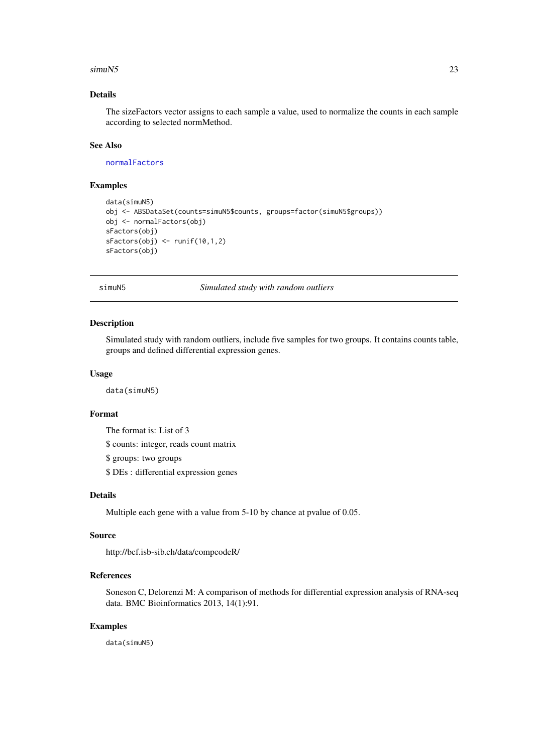#### <span id="page-22-0"></span> $\sin\theta$  23

## Details

The sizeFactors vector assigns to each sample a value, used to normalize the counts in each sample according to selected normMethod.

## See Also

[normalFactors](#page-16-1)

## Examples

```
data(simuN5)
obj <- ABSDataSet(counts=simuN5$counts, groups=factor(simuN5$groups))
obj <- normalFactors(obj)
sFactors(obj)
sfactors(obj) < - runif(10,1,2)sFactors(obj)
```
simuN5 *Simulated study with random outliers*

#### Description

Simulated study with random outliers, include five samples for two groups. It contains counts table, groups and defined differential expression genes.

#### Usage

data(simuN5)

#### Format

The format is: List of 3

\$ counts: integer, reads count matrix

\$ groups: two groups

\$ DEs : differential expression genes

## Details

Multiple each gene with a value from 5-10 by chance at pvalue of 0.05.

#### Source

http://bcf.isb-sib.ch/data/compcodeR/

#### References

Soneson C, Delorenzi M: A comparison of methods for differential expression analysis of RNA-seq data. BMC Bioinformatics 2013, 14(1):91.

## Examples

data(simuN5)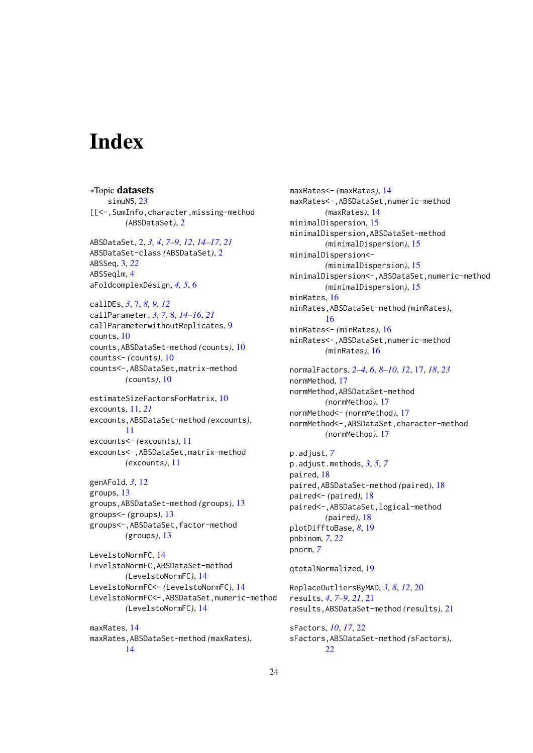# <span id="page-23-0"></span>Index

∗Topic datasets simuN5, [23](#page-22-0) [[<-,SumInfo,character,missing-method *(*ABSDataSet*)*, [2](#page-1-0) ABSDataSet, [2,](#page-1-0) *[3,](#page-2-0) [4](#page-3-0)*, *[7](#page-6-0)[–9](#page-8-0)*, *[12](#page-11-0)*, *[14–](#page-13-0)[17](#page-16-0)*, *[21](#page-20-0)* ABSDataSet-class *(*ABSDataSet*)*, [2](#page-1-0) ABSSeq, [3,](#page-2-0) *[22](#page-21-0)* ABSSeqlm, [4](#page-3-0) aFoldcomplexDesign, *[4,](#page-3-0) [5](#page-4-0)*, [6](#page-5-0) callDEs, *[3](#page-2-0)*, [7,](#page-6-0) *[8,](#page-7-0) [9](#page-8-0)*, *[12](#page-11-0)* callParameter, *[3](#page-2-0)*, *[7](#page-6-0)*, [8,](#page-7-0) *[14–](#page-13-0)[16](#page-15-0)*, *[21](#page-20-0)* callParameterwithoutReplicates, [9](#page-8-0) counts, [10](#page-9-0) counts,ABSDataSet-method *(*counts*)*, [10](#page-9-0) counts<- *(*counts*)*, [10](#page-9-0) counts<-,ABSDataSet,matrix-method *(*counts*)*, [10](#page-9-0) estimateSizeFactorsForMatrix, [10](#page-9-0) excounts, [11,](#page-10-0) *[21](#page-20-0)* excounts,ABSDataSet-method *(*excounts*)*, [11](#page-10-0) excounts<- *(*excounts*)*, [11](#page-10-0) excounts<-,ABSDataSet,matrix-method *(*excounts*)*, [11](#page-10-0) genAFold, *[3](#page-2-0)*, [12](#page-11-0) groups, [13](#page-12-0) groups,ABSDataSet-method *(*groups*)*, [13](#page-12-0) groups<- *(*groups*)*, [13](#page-12-0) groups<-,ABSDataSet,factor-method *(*groups*)*, [13](#page-12-0) LevelstoNormFC, [14](#page-13-0) LevelstoNormFC,ABSDataSet-method *(*LevelstoNormFC*)*, [14](#page-13-0) LevelstoNormFC<- *(*LevelstoNormFC*)*, [14](#page-13-0) LevelstoNormFC<-,ABSDataSet,numeric-method *(*LevelstoNormFC*)*, [14](#page-13-0) maxRates, [14](#page-13-0) maxRates,ABSDataSet-method *(*maxRates*)*, [14](#page-13-0)

maxRates<- *(*maxRates*)*, [14](#page-13-0) maxRates<-,ABSDataSet,numeric-method *(*maxRates*)*, [14](#page-13-0) minimalDispersion, [15](#page-14-0) minimalDispersion,ABSDataSet-method *(*minimalDispersion*)*, [15](#page-14-0) minimalDispersion<- *(*minimalDispersion*)*, [15](#page-14-0) minimalDispersion<-,ABSDataSet,numeric-method *(*minimalDispersion*)*, [15](#page-14-0) minRates, [16](#page-15-0) minRates,ABSDataSet-method *(*minRates*)*, [16](#page-15-0) minRates<- *(*minRates*)*, [16](#page-15-0) minRates<-,ABSDataSet,numeric-method *(*minRates*)*, [16](#page-15-0) normalFactors, *[2](#page-1-0)[–4](#page-3-0)*, *[6](#page-5-0)*, *[8](#page-7-0)[–10](#page-9-0)*, *[12](#page-11-0)*, [17,](#page-16-0) *[18](#page-17-0)*, *[23](#page-22-0)* normMethod, [17](#page-16-0) normMethod,ABSDataSet-method *(*normMethod*)*, [17](#page-16-0) normMethod<- *(*normMethod*)*, [17](#page-16-0) normMethod<-,ABSDataSet,character-method *(*normMethod*)*, [17](#page-16-0) p.adjust, *[7](#page-6-0)* p.adjust.methods, *[3](#page-2-0)*, *[5](#page-4-0)*, *[7](#page-6-0)* paired, [18](#page-17-0) paired,ABSDataSet-method *(*paired*)*, [18](#page-17-0) paired<- *(*paired*)*, [18](#page-17-0) paired<-,ABSDataSet,logical-method *(*paired*)*, [18](#page-17-0) plotDifftoBase, *[8](#page-7-0)*, [19](#page-18-0) pnbinom, *[7](#page-6-0)*, *[22](#page-21-0)* pnorm, *[7](#page-6-0)* qtotalNormalized, [19](#page-18-0) ReplaceOutliersByMAD, *[3](#page-2-0)*, *[8](#page-7-0)*, *[12](#page-11-0)*, [20](#page-19-0) results, *[4](#page-3-0)*, *[7](#page-6-0)[–9](#page-8-0)*, *[21](#page-20-0)*, [21](#page-20-0) results,ABSDataSet-method *(*results*)*, [21](#page-20-0) sFactors, *[10](#page-9-0)*, *[17](#page-16-0)*, [22](#page-21-0) sFactors,ABSDataSet-method *(*sFactors*)*, [22](#page-21-0)